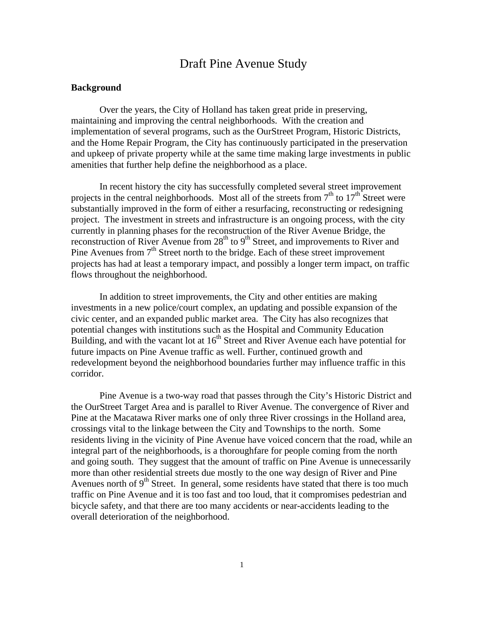# Draft Pine Avenue Study

## **Background**

Over the years, the City of Holland has taken great pride in preserving, maintaining and improving the central neighborhoods. With the creation and implementation of several programs, such as the OurStreet Program, Historic Districts, and the Home Repair Program, the City has continuously participated in the preservation and upkeep of private property while at the same time making large investments in public amenities that further help define the neighborhood as a place.

In recent history the city has successfully completed several street improvement projects in the central neighborhoods. Most all of the streets from  $7<sup>th</sup>$  to  $17<sup>th</sup>$  Street were substantially improved in the form of either a resurfacing, reconstructing or redesigning project. The investment in streets and infrastructure is an ongoing process, with the city currently in planning phases for the reconstruction of the River Avenue Bridge, the reconstruction of River Avenue from  $28<sup>th</sup>$  to  $9<sup>th</sup>$  Street, and improvements to River and Pine Avenues from 7<sup>th</sup> Street north to the bridge. Each of these street improvement projects has had at least a temporary impact, and possibly a longer term impact, on traffic flows throughout the neighborhood.

In addition to street improvements, the City and other entities are making investments in a new police/court complex, an updating and possible expansion of the civic center, and an expanded public market area. The City has also recognizes that potential changes with institutions such as the Hospital and Community Education Building, and with the vacant lot at  $16<sup>th</sup>$  Street and River Avenue each have potential for future impacts on Pine Avenue traffic as well. Further, continued growth and redevelopment beyond the neighborhood boundaries further may influence traffic in this corridor.

Pine Avenue is a two-way road that passes through the City's Historic District and the OurStreet Target Area and is parallel to River Avenue. The convergence of River and Pine at the Macatawa River marks one of only three River crossings in the Holland area, crossings vital to the linkage between the City and Townships to the north. Some residents living in the vicinity of Pine Avenue have voiced concern that the road, while an integral part of the neighborhoods, is a thoroughfare for people coming from the north and going south. They suggest that the amount of traffic on Pine Avenue is unnecessarily more than other residential streets due mostly to the one way design of River and Pine Avenues north of  $9<sup>th</sup>$  Street. In general, some residents have stated that there is too much traffic on Pine Avenue and it is too fast and too loud, that it compromises pedestrian and bicycle safety, and that there are too many accidents or near-accidents leading to the overall deterioration of the neighborhood.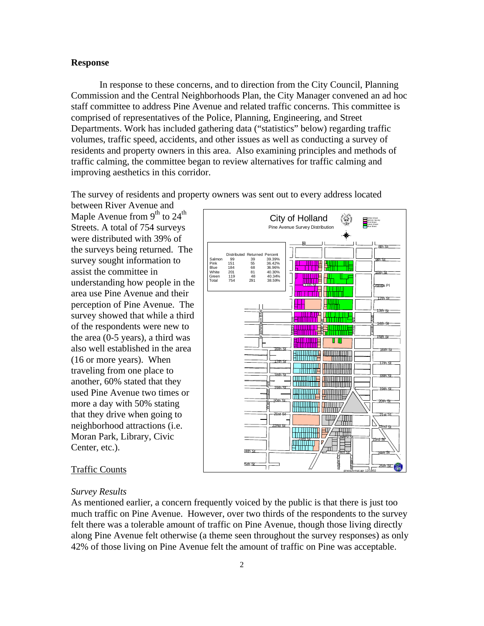### **Response**

In response to these concerns, and to direction from the City Council, Planning Commission and the Central Neighborhoods Plan, the City Manager convened an ad hoc staff committee to address Pine Avenue and related traffic concerns. This committee is comprised of representatives of the Police, Planning, Engineering, and Street Departments. Work has included gathering data ("statistics" below) regarding traffic volumes, traffic speed, accidents, and other issues as well as conducting a survey of residents and property owners in this area. Also examining principles and methods of traffic calming, the committee began to review alternatives for traffic calming and improving aesthetics in this corridor.

The survey of residents and property owners was sent out to every address located

between River Avenue and Maple Avenue from  $9<sup>th</sup>$  to  $24<sup>th</sup>$ Streets. A total of 754 surveys were distributed with 39% of the surveys being returned. The survey sought information to assist the committee in understanding how people in the area use Pine Avenue and their perception of Pine Avenue. The survey showed that while a third of the respondents were new to the area (0-5 years), a third was also well established in the area (16 or more years). When traveling from one place to another, 60% stated that they used Pine Avenue two times or more a day with 50% stating that they drive when going to neighborhood attractions (i.e. Moran Park, Library, Civic Center, etc.).



pinesurvmat.apr 12/19/02

#### Traffic Counts

## *Survey Results*

As mentioned earlier, a concern frequently voiced by the public is that there is just too much traffic on Pine Avenue. However, over two thirds of the respondents to the survey felt there was a tolerable amount of traffic on Pine Avenue, though those living directly along Pine Avenue felt otherwise (a theme seen throughout the survey responses) as only 42% of those living on Pine Avenue felt the amount of traffic on Pine was acceptable.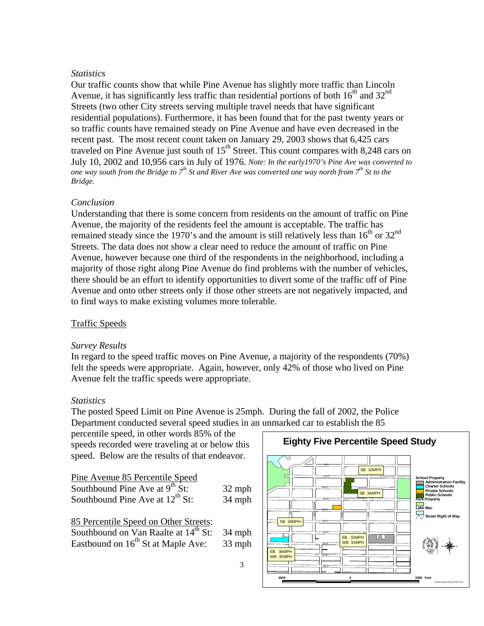# *Statistics*

Our traffic counts show that while Pine Avenue has slightly more traffic than Lincoln Avenue, it has significantly less traffic than residential portions of both  $16<sup>th</sup>$  and  $32<sup>nd</sup>$ Streets (two other City streets serving multiple travel needs that have significant residential populations). Furthermore, it has been found that for the past twenty years or so traffic counts have remained steady on Pine Avenue and have even decreased in the recent past. The most recent count taken on January 29, 2003 shows that 6,425 cars traveled on Pine Avenue just south of  $15<sup>th</sup>$  Street. This count compares with 8,248 cars on July 10, 2002 and 10,956 cars in July of 1976. *Note: In the early1970's Pine Ave was converted to one way south from the Bridge to 7th St and River Ave was converted one way north from 7th St to the Bridge.*

# *Conclusion*

Understanding that there is some concern from residents on the amount of traffic on Pine Avenue, the majority of the residents feel the amount is acceptable. The traffic has remained steady since the 1970's and the amount is still relatively less than  $16^{th}$  or  $32^{nd}$ Streets. The data does not show a clear need to reduce the amount of traffic on Pine Avenue, however because one third of the respondents in the neighborhood, including a majority of those right along Pine Avenue do find problems with the number of vehicles, there should be an effort to identify opportunities to divert some of the traffic off of Pine Avenue and onto other streets only if those other streets are not negatively impacted, and to find ways to make existing volumes more tolerable.

# Traffic Speeds

## *Survey Results*

In regard to the speed traffic moves on Pine Avenue, a majority of the respondents (70%) felt the speeds were appropriate. Again, however, only 42% of those who lived on Pine Avenue felt the traffic speeds were appropriate.

## *Statistics*

The posted Speed Limit on Pine Avenue is 25mph. During the fall of 2002, the Police Department conducted several speed studies in an unmarked car to establish the 85

percentile speed, in other words 85% of the speeds recorded were traveling at or below this speed. Below are the results of that endeavor.

| 32 mph |
|--------|
| 34 mph |
|        |
| 34 mph |
|        |
|        |

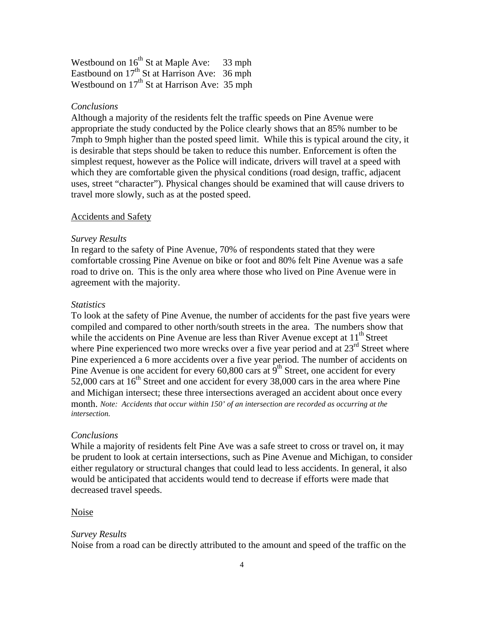Westbound on  $16^{th}$  St at Maple Ave: 33 mph Eastbound on  $17<sup>th</sup>$  St at Harrison Ave: 36 mph Westbound on  $17<sup>th</sup>$  St at Harrison Ave: 35 mph

## *Conclusions*

Although a majority of the residents felt the traffic speeds on Pine Avenue were appropriate the study conducted by the Police clearly shows that an 85% number to be 7mph to 9mph higher than the posted speed limit. While this is typical around the city, it is desirable that steps should be taken to reduce this number. Enforcement is often the simplest request, however as the Police will indicate, drivers will travel at a speed with which they are comfortable given the physical conditions (road design, traffic, adjacent uses, street "character"). Physical changes should be examined that will cause drivers to travel more slowly, such as at the posted speed.

## Accidents and Safety

### *Survey Results*

In regard to the safety of Pine Avenue, 70% of respondents stated that they were comfortable crossing Pine Avenue on bike or foot and 80% felt Pine Avenue was a safe road to drive on. This is the only area where those who lived on Pine Avenue were in agreement with the majority.

## *Statistics*

To look at the safety of Pine Avenue, the number of accidents for the past five years were compiled and compared to other north/south streets in the area. The numbers show that while the accidents on Pine Avenue are less than River Avenue except at  $11<sup>th</sup>$  Street where Pine experienced two more wrecks over a five year period and at  $23<sup>rd</sup>$  Street where Pine experienced a 6 more accidents over a five year period. The number of accidents on Pine Avenue is one accident for every  $60,800$  cars at  $9<sup>th</sup>$  Street, one accident for every 52,000 cars at  $16<sup>th</sup>$  Street and one accident for every 38,000 cars in the area where Pine and Michigan intersect; these three intersections averaged an accident about once every month. *Note: Accidents that occur within 150' of an intersection are recorded as occurring at the intersection.*

### *Conclusions*

While a majority of residents felt Pine Ave was a safe street to cross or travel on, it may be prudent to look at certain intersections, such as Pine Avenue and Michigan, to consider either regulatory or structural changes that could lead to less accidents. In general, it also would be anticipated that accidents would tend to decrease if efforts were made that decreased travel speeds.

#### Noise

#### *Survey Results*

Noise from a road can be directly attributed to the amount and speed of the traffic on the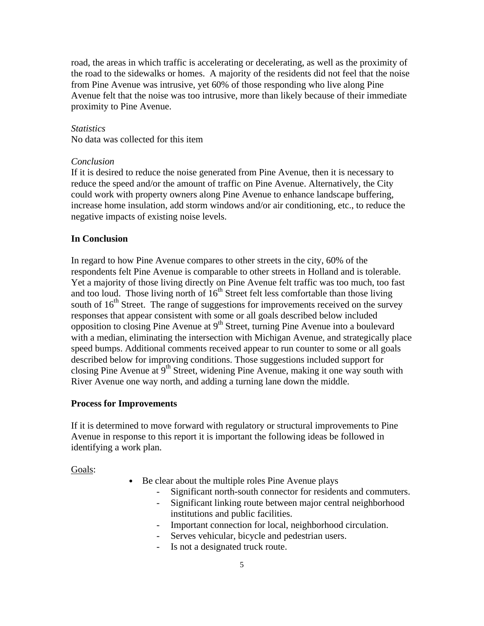road, the areas in which traffic is accelerating or decelerating, as well as the proximity of the road to the sidewalks or homes. A majority of the residents did not feel that the noise from Pine Avenue was intrusive, yet 60% of those responding who live along Pine Avenue felt that the noise was too intrusive, more than likely because of their immediate proximity to Pine Avenue.

## *Statistics*

No data was collected for this item

### *Conclusion*

If it is desired to reduce the noise generated from Pine Avenue, then it is necessary to reduce the speed and/or the amount of traffic on Pine Avenue. Alternatively, the City could work with property owners along Pine Avenue to enhance landscape buffering, increase home insulation, add storm windows and/or air conditioning, etc., to reduce the negative impacts of existing noise levels.

## **In Conclusion**

In regard to how Pine Avenue compares to other streets in the city, 60% of the respondents felt Pine Avenue is comparable to other streets in Holland and is tolerable. Yet a majority of those living directly on Pine Avenue felt traffic was too much, too fast and too loud. Those living north of  $16<sup>th</sup>$  Street felt less comfortable than those living south of  $16<sup>th</sup>$  Street. The range of suggestions for improvements received on the survey responses that appear consistent with some or all goals described below included opposition to closing Pine Avenue at  $9<sup>th</sup>$  Street, turning Pine Avenue into a boulevard with a median, eliminating the intersection with Michigan Avenue, and strategically place speed bumps. Additional comments received appear to run counter to some or all goals described below for improving conditions. Those suggestions included support for closing Pine Avenue at  $9<sup>th</sup>$  Street, widening Pine Avenue, making it one way south with River Avenue one way north, and adding a turning lane down the middle.

## **Process for Improvements**

If it is determined to move forward with regulatory or structural improvements to Pine Avenue in response to this report it is important the following ideas be followed in identifying a work plan.

Goals:

- Be clear about the multiple roles Pine Avenue plays
	- Significant north-south connector for residents and commuters.
	- Significant linking route between major central neighborhood institutions and public facilities.
	- Important connection for local, neighborhood circulation.
	- Serves vehicular, bicycle and pedestrian users.
		- Is not a designated truck route.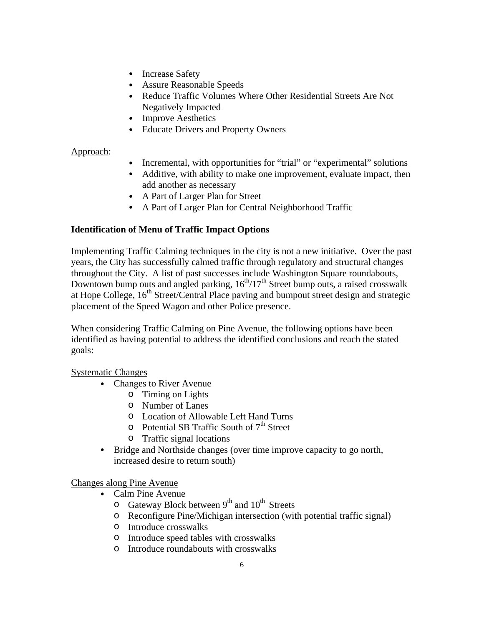- Increase Safety
- Assure Reasonable Speeds
- Reduce Traffic Volumes Where Other Residential Streets Are Not Negatively Impacted
- Improve Aesthetics
- Educate Drivers and Property Owners

# Approach:

- Incremental, with opportunities for "trial" or "experimental" solutions
- Additive, with ability to make one improvement, evaluate impact, then add another as necessary
- A Part of Larger Plan for Street
- A Part of Larger Plan for Central Neighborhood Traffic

# **Identification of Menu of Traffic Impact Options**

Implementing Traffic Calming techniques in the city is not a new initiative. Over the past years, the City has successfully calmed traffic through regulatory and structural changes throughout the City. A list of past successes include Washington Square roundabouts, Downtown bump outs and angled parking,  $16<sup>th</sup>/17<sup>th</sup>$  Street bump outs, a raised crosswalk at Hope College,  $16<sup>th</sup>$  Street/Central Place paving and bumpout street design and strategic placement of the Speed Wagon and other Police presence.

When considering Traffic Calming on Pine Avenue, the following options have been identified as having potential to address the identified conclusions and reach the stated goals:

# Systematic Changes

- Changes to River Avenue
	- o Timing on Lights
	- o Number of Lanes
	- o Location of Allowable Left Hand Turns
	- $\circ$  Potential SB Traffic South of  $7<sup>th</sup>$  Street
	- o Traffic signal locations
- Bridge and Northside changes (over time improve capacity to go north, increased desire to return south)

Changes along Pine Avenue

- Calm Pine Avenue
	- $\circ$  Gateway Block between 9<sup>th</sup> and 10<sup>th</sup> Streets
	- o Reconfigure Pine/Michigan intersection (with potential traffic signal)
	- o Introduce crosswalks
	- o Introduce speed tables with crosswalks
	- o Introduce roundabouts with crosswalks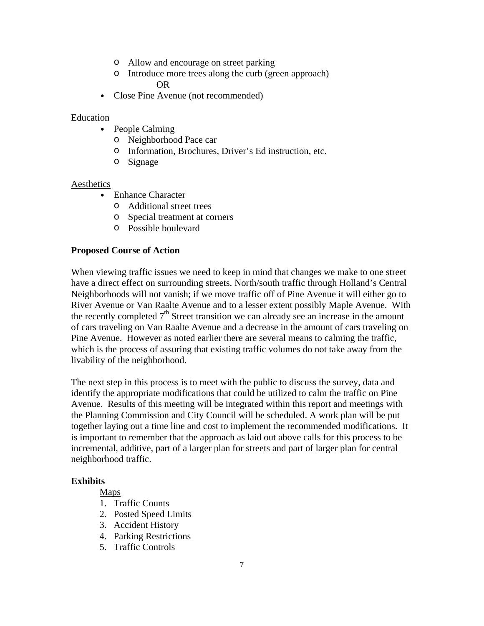- o Allow and encourage on street parking
- o Introduce more trees along the curb (green approach) OR
- Close Pine Avenue (not recommended)

## Education

- People Calming
	- o Neighborhood Pace car
	- o Information, Brochures, Driver's Ed instruction, etc.
	- o Signage

# Aesthetics

- Enhance Character
	- o Additional street trees
	- o Special treatment at corners
	- o Possible boulevard

# **Proposed Course of Action**

When viewing traffic issues we need to keep in mind that changes we make to one street have a direct effect on surrounding streets. North/south traffic through Holland's Central Neighborhoods will not vanish; if we move traffic off of Pine Avenue it will either go to River Avenue or Van Raalte Avenue and to a lesser extent possibly Maple Avenue. With the recently completed  $7<sup>th</sup>$  Street transition we can already see an increase in the amount of cars traveling on Van Raalte Avenue and a decrease in the amount of cars traveling on Pine Avenue. However as noted earlier there are several means to calming the traffic, which is the process of assuring that existing traffic volumes do not take away from the livability of the neighborhood.

The next step in this process is to meet with the public to discuss the survey, data and identify the appropriate modifications that could be utilized to calm the traffic on Pine Avenue. Results of this meeting will be integrated within this report and meetings with the Planning Commission and City Council will be scheduled. A work plan will be put together laying out a time line and cost to implement the recommended modifications. It is important to remember that the approach as laid out above calls for this process to be incremental, additive, part of a larger plan for streets and part of larger plan for central neighborhood traffic.

## **Exhibits**

- Maps
- 1. Traffic Counts
- 2. Posted Speed Limits
- 3. Accident History
- 4. Parking Restrictions
- 5. Traffic Controls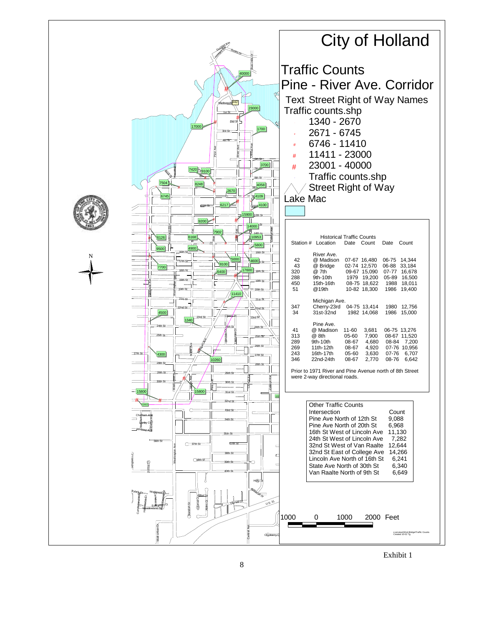

Exhibit 1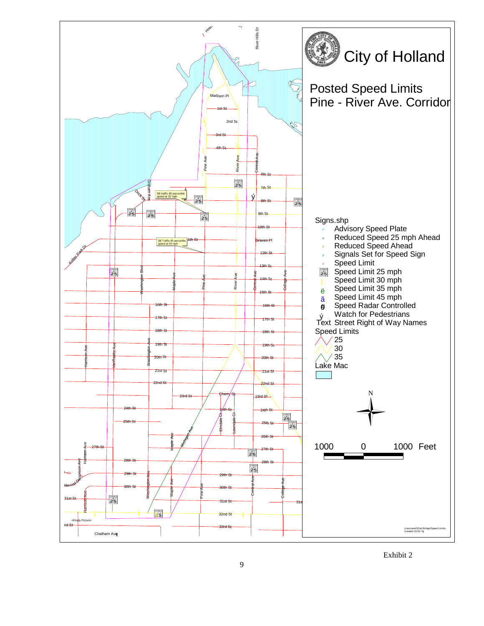

Exhibit 2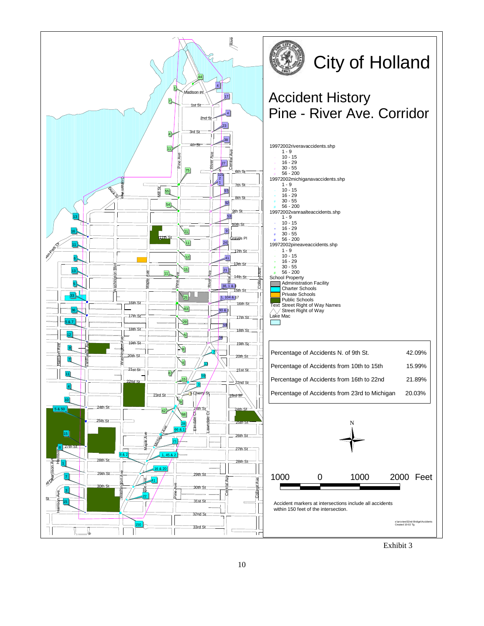

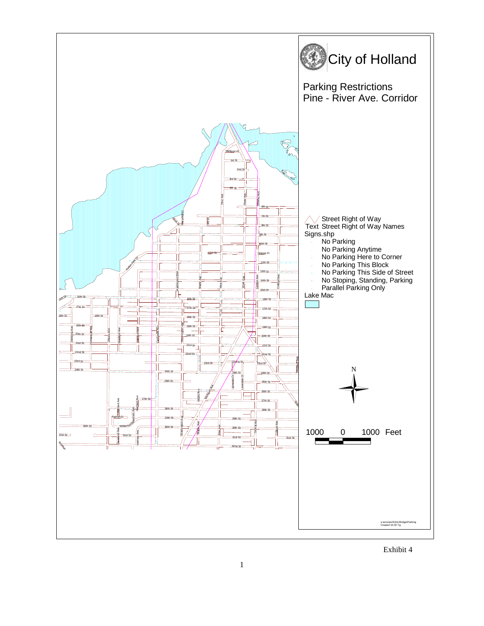